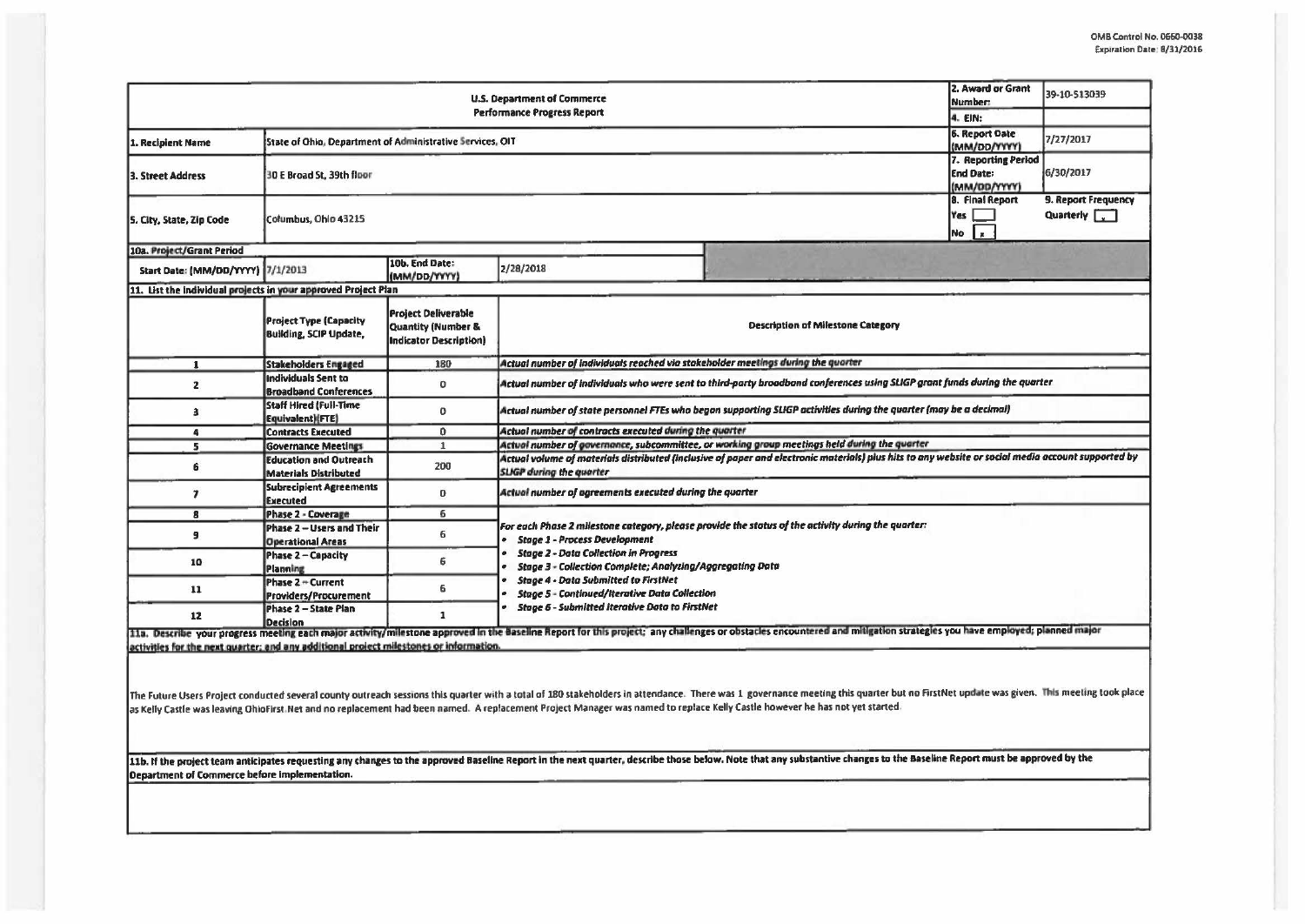| 39-10-513039<br>7/27/2017<br>6/30/2017<br>9. Report Frequency<br>Quarterly 7                                                                                                                                           |  |  |  |  |  |
|------------------------------------------------------------------------------------------------------------------------------------------------------------------------------------------------------------------------|--|--|--|--|--|
|                                                                                                                                                                                                                        |  |  |  |  |  |
|                                                                                                                                                                                                                        |  |  |  |  |  |
|                                                                                                                                                                                                                        |  |  |  |  |  |
|                                                                                                                                                                                                                        |  |  |  |  |  |
|                                                                                                                                                                                                                        |  |  |  |  |  |
|                                                                                                                                                                                                                        |  |  |  |  |  |
|                                                                                                                                                                                                                        |  |  |  |  |  |
|                                                                                                                                                                                                                        |  |  |  |  |  |
|                                                                                                                                                                                                                        |  |  |  |  |  |
|                                                                                                                                                                                                                        |  |  |  |  |  |
| Actual number of individuals who were sent to third-party broadband conferences using SLIGP grant funds during the quarter                                                                                             |  |  |  |  |  |
|                                                                                                                                                                                                                        |  |  |  |  |  |
|                                                                                                                                                                                                                        |  |  |  |  |  |
| Actual number of governance, subcommittee, or working group meetings held during the quarter                                                                                                                           |  |  |  |  |  |
| Actual volume of materials distributed (inclusive of paper and electronic materials) plus hits to any website or social media account supported by<br><b>SLIGP</b> during the quarter                                  |  |  |  |  |  |
| Actual number of agreements executed during the quarter                                                                                                                                                                |  |  |  |  |  |
|                                                                                                                                                                                                                        |  |  |  |  |  |
|                                                                                                                                                                                                                        |  |  |  |  |  |
|                                                                                                                                                                                                                        |  |  |  |  |  |
|                                                                                                                                                                                                                        |  |  |  |  |  |
| 11a. Describe your progress meeting each major activity/milestone approved in the Baseline Report for this project; any challenges or obstacles encountered and mitigation strategies you have employed; planned major |  |  |  |  |  |
|                                                                                                                                                                                                                        |  |  |  |  |  |

activities for the next quarter; and any additional project milestones or information.

The Future Users Project conducted several county outreach sessions this quarter with a total of 180 stakeholders in attendance. There was 1 governance meeting this quarter but no FirstNet update was given. This meeting to as Kelly Castle was leaving OhioFirst. Net and no replacement had been named. A replacement Project Manager was named to replace Kelly Castle however he has not yet started.

11b. If the project team anticipates requesting any changes to the approved Baseline Report in the next quarter, describe those below. Note that any substantive changes to the Baseline Report must be approved by the Department of Commerce before implementation.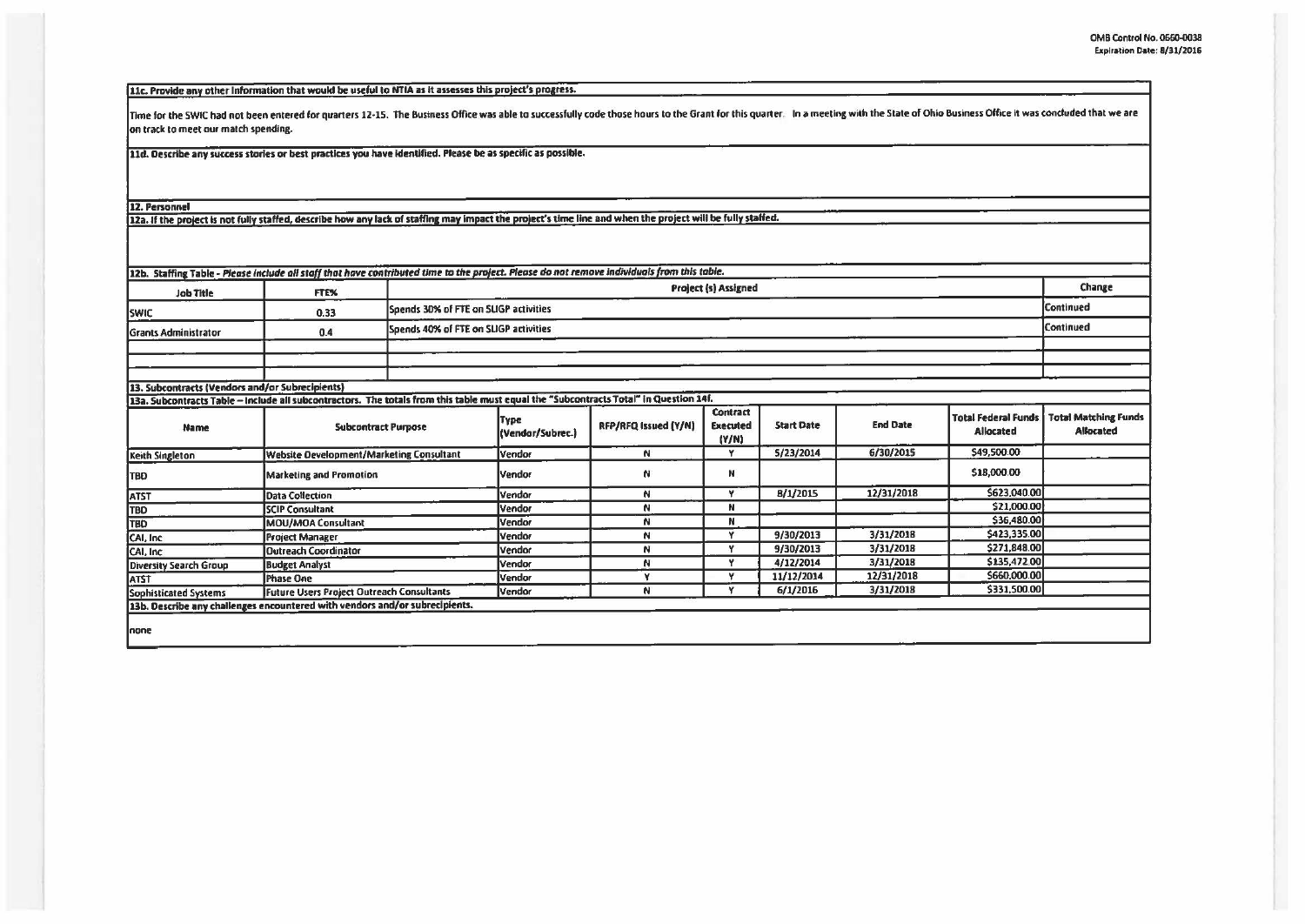[11c. Provide any other Information that would be useful to NTIA as it assesses this project's progress.

Time for the SWIC had not been entered for quarters 12-15. The Business Office was able to successfully code those hours to the Grant for this quarter. In a meeting with the State of Ohio Business Office it was concluded t on track to meet our match spending.

11d. Describe any success stories or best practices you have identified. Please be as specific as possible.

12. Personnel

12a. If the project is not fully staffed, describe how any lack of staffing may impact the project's time line and when the project will be fully staffed.

| <b>Job Title</b>                                | FTE%                                                                                                                                  |  | Project (s) Assigned                               |                      |                                             |                   |                 |              |                                                                |  |  |
|-------------------------------------------------|---------------------------------------------------------------------------------------------------------------------------------------|--|----------------------------------------------------|----------------------|---------------------------------------------|-------------------|-----------------|--------------|----------------------------------------------------------------|--|--|
| <b>SWIC</b>                                     | 0.33                                                                                                                                  |  | Continued<br>Spends 30% of FTE on SLIGP activities |                      |                                             |                   |                 |              |                                                                |  |  |
| <b>Grants Administrator</b>                     | Spends 40% of FTE on SLIGP activities<br>0.4                                                                                          |  |                                                    |                      |                                             |                   |                 |              | Continued                                                      |  |  |
|                                                 |                                                                                                                                       |  |                                                    |                      |                                             |                   |                 |              |                                                                |  |  |
|                                                 |                                                                                                                                       |  |                                                    |                      |                                             |                   |                 |              |                                                                |  |  |
|                                                 |                                                                                                                                       |  |                                                    |                      |                                             |                   |                 |              |                                                                |  |  |
| 13. Subcontracts (Vendors and/or Subrecipients) |                                                                                                                                       |  |                                                    |                      |                                             |                   |                 |              |                                                                |  |  |
|                                                 | 13a. Subcontracts Table - Include all subcontractors. The totals from this table must equal the "Subcontracts Total" in Question 14f. |  |                                                    |                      |                                             |                   |                 |              |                                                                |  |  |
| <b>Name</b>                                     | <b>Subcontract Purpose</b>                                                                                                            |  | Type<br>(Vendar/Subrec.)                           | RFP/RFQ Issued (Y/N) | <b>Contract</b><br><b>Executed</b><br>(Y/N) | <b>Start Date</b> | <b>End Date</b> | Allocated    | Total Federal Funds   Total Matching Funds<br><b>Allocated</b> |  |  |
| Keith Singleton                                 | <b>Website Development/Marketing Consultant</b>                                                                                       |  | Vendor                                             | N                    | Y                                           | 5/23/2014         | 6/30/2015       | \$49,500.00  |                                                                |  |  |
| <b>TBO</b>                                      | <b>Marketing and Promotion</b>                                                                                                        |  | Vendor                                             | N                    | N                                           |                   |                 | \$18,000.00  |                                                                |  |  |
| <b>ATST</b>                                     | Data Collection                                                                                                                       |  | Vendor                                             | N                    | v                                           | 8/1/2015          | 12/31/2018      | \$623,040.00 |                                                                |  |  |
| <b>TBO</b>                                      | <b>SCIP Consultant</b>                                                                                                                |  | Vendor                                             | N                    | N                                           |                   |                 | \$21,000.00  |                                                                |  |  |
| TBD                                             | MOU/MOA Consultant                                                                                                                    |  | Vendor                                             | N.                   | N                                           |                   |                 | \$36,480.00  |                                                                |  |  |
| CAI, Inc.                                       | <b>Project Manager</b>                                                                                                                |  | Vendor                                             | N                    | ۷                                           | 9/30/2013         | 3/31/2018       | \$423,335.00 |                                                                |  |  |
| CAI, Inc.                                       | Outreach Coordinator                                                                                                                  |  | Vendor                                             | N                    | v                                           | 9/30/2013         | 3/31/2018       | \$271,848.00 |                                                                |  |  |
| Diversity Search Group                          | <b>Budget Analyst</b>                                                                                                                 |  | Vendor                                             | N                    | Y                                           | 4/12/2014         | 3/31/2018       | \$135,472.00 |                                                                |  |  |
| <b>ATST</b>                                     | Phase One                                                                                                                             |  | Vendor                                             | Y                    | v                                           | 11/12/2014        | 12/31/2018      | \$660,000.00 |                                                                |  |  |
| Sophisticated Systems                           | Future Users Project Outreach Consultants                                                                                             |  | Vendor                                             | N.                   | v                                           | 6/1/2016          | 3/31/2018       | \$331,500.00 |                                                                |  |  |
|                                                 | 13b. Describe any challenges encountered with vendors and/or subrecipients.                                                           |  |                                                    |                      |                                             |                   |                 |              |                                                                |  |  |